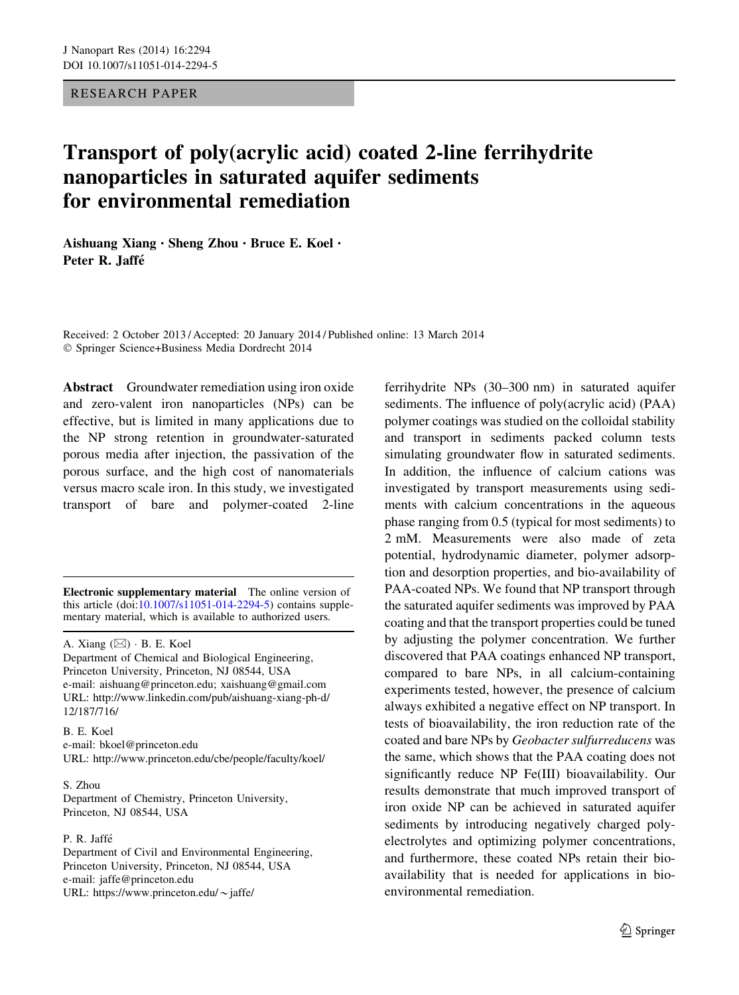RESEARCH PAPER

# Transport of poly(acrylic acid) coated 2-line ferrihydrite nanoparticles in saturated aquifer sediments for environmental remediation

Aishuang Xiang • Sheng Zhou • Bruce E. Koel • Peter R. Jaffé

Received: 2 October 2013 / Accepted: 20 January 2014 / Published online: 13 March 2014 - Springer Science+Business Media Dordrecht 2014

Abstract Groundwater remediation using iron oxide and zero-valent iron nanoparticles (NPs) can be effective, but is limited in many applications due to the NP strong retention in groundwater-saturated porous media after injection, the passivation of the porous surface, and the high cost of nanomaterials versus macro scale iron. In this study, we investigated transport of bare and polymer-coated 2-line

Electronic supplementary material The online version of this article (doi[:10.1007/s11051-014-2294-5\)](http://dx.doi.org/10.1007/s11051-014-2294-5) contains supplementary material, which is available to authorized users.

A. Xiang  $(\boxtimes) \cdot$  B. E. Koel Department of Chemical and Biological Engineering, Princeton University, Princeton, NJ 08544, USA e-mail: aishuang@princeton.edu; xaishuang@gmail.com URL: http://www.linkedin.com/pub/aishuang-xiang-ph-d/ 12/187/716/

B. E. Koel e-mail: bkoel@princeton.edu URL: http://www.princeton.edu/cbe/people/faculty/koel/

#### S. Zhou

Department of Chemistry, Princeton University, Princeton, NJ 08544, USA

#### P. R. Jaffé

Department of Civil and Environmental Engineering, Princeton University, Princeton, NJ 08544, USA e-mail: jaffe@princeton.edu URL: https://www.princeton.edu/ $\sim$ jaffe/

ferrihydrite NPs (30–300 nm) in saturated aquifer sediments. The influence of poly(acrylic acid) (PAA) polymer coatings was studied on the colloidal stability and transport in sediments packed column tests simulating groundwater flow in saturated sediments. In addition, the influence of calcium cations was investigated by transport measurements using sediments with calcium concentrations in the aqueous phase ranging from 0.5 (typical for most sediments) to 2 mM. Measurements were also made of zeta potential, hydrodynamic diameter, polymer adsorption and desorption properties, and bio-availability of PAA-coated NPs. We found that NP transport through the saturated aquifer sediments was improved by PAA coating and that the transport properties could be tuned by adjusting the polymer concentration. We further discovered that PAA coatings enhanced NP transport, compared to bare NPs, in all calcium-containing experiments tested, however, the presence of calcium always exhibited a negative effect on NP transport. In tests of bioavailability, the iron reduction rate of the coated and bare NPs by Geobacter sulfurreducens was the same, which shows that the PAA coating does not significantly reduce NP Fe(III) bioavailability. Our results demonstrate that much improved transport of iron oxide NP can be achieved in saturated aquifer sediments by introducing negatively charged polyelectrolytes and optimizing polymer concentrations, and furthermore, these coated NPs retain their bioavailability that is needed for applications in bioenvironmental remediation.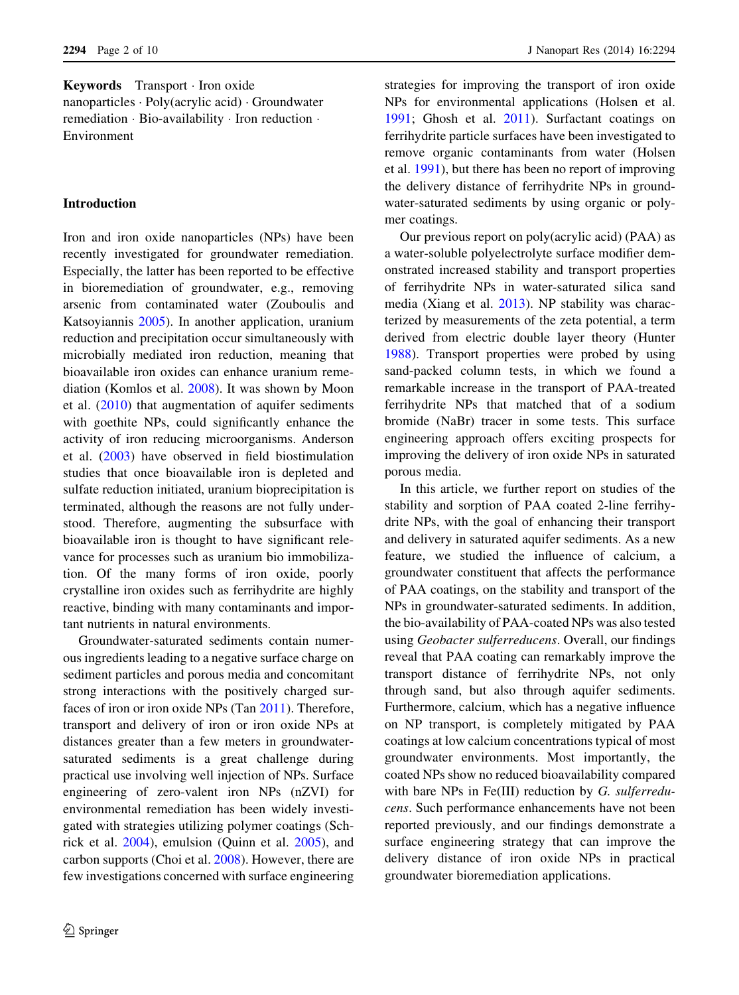Keywords Transport - Iron oxide nanoparticles - Poly(acrylic acid) - Groundwater remediation - Bio-availability - Iron reduction -Environment

# Introduction

Iron and iron oxide nanoparticles (NPs) have been recently investigated for groundwater remediation. Especially, the latter has been reported to be effective in bioremediation of groundwater, e.g., removing arsenic from contaminated water (Zouboulis and Katsoyiannis [2005\)](#page-9-0). In another application, uranium reduction and precipitation occur simultaneously with microbially mediated iron reduction, meaning that bioavailable iron oxides can enhance uranium remediation (Komlos et al. [2008](#page-8-0)). It was shown by Moon et al. [\(2010](#page-8-0)) that augmentation of aquifer sediments with goethite NPs, could significantly enhance the activity of iron reducing microorganisms. Anderson et al. ([2003\)](#page-8-0) have observed in field biostimulation studies that once bioavailable iron is depleted and sulfate reduction initiated, uranium bioprecipitation is terminated, although the reasons are not fully understood. Therefore, augmenting the subsurface with bioavailable iron is thought to have significant relevance for processes such as uranium bio immobilization. Of the many forms of iron oxide, poorly crystalline iron oxides such as ferrihydrite are highly reactive, binding with many contaminants and important nutrients in natural environments.

Groundwater-saturated sediments contain numerous ingredients leading to a negative surface charge on sediment particles and porous media and concomitant strong interactions with the positively charged surfaces of iron or iron oxide NPs (Tan [2011](#page-9-0)). Therefore, transport and delivery of iron or iron oxide NPs at distances greater than a few meters in groundwatersaturated sediments is a great challenge during practical use involving well injection of NPs. Surface engineering of zero-valent iron NPs (nZVI) for environmental remediation has been widely investigated with strategies utilizing polymer coatings (Schrick et al. [2004\)](#page-9-0), emulsion (Quinn et al. [2005](#page-8-0)), and carbon supports (Choi et al. [2008](#page-8-0)). However, there are few investigations concerned with surface engineering strategies for improving the transport of iron oxide NPs for environmental applications (Holsen et al. [1991;](#page-8-0) Ghosh et al. [2011](#page-8-0)). Surfactant coatings on ferrihydrite particle surfaces have been investigated to remove organic contaminants from water (Holsen et al. [1991\)](#page-8-0), but there has been no report of improving the delivery distance of ferrihydrite NPs in groundwater-saturated sediments by using organic or polymer coatings.

Our previous report on poly(acrylic acid) (PAA) as a water-soluble polyelectrolyte surface modifier demonstrated increased stability and transport properties of ferrihydrite NPs in water-saturated silica sand media (Xiang et al. [2013](#page-9-0)). NP stability was characterized by measurements of the zeta potential, a term derived from electric double layer theory (Hunter [1988\)](#page-8-0). Transport properties were probed by using sand-packed column tests, in which we found a remarkable increase in the transport of PAA-treated ferrihydrite NPs that matched that of a sodium bromide (NaBr) tracer in some tests. This surface engineering approach offers exciting prospects for improving the delivery of iron oxide NPs in saturated porous media.

In this article, we further report on studies of the stability and sorption of PAA coated 2-line ferrihydrite NPs, with the goal of enhancing their transport and delivery in saturated aquifer sediments. As a new feature, we studied the influence of calcium, a groundwater constituent that affects the performance of PAA coatings, on the stability and transport of the NPs in groundwater-saturated sediments. In addition, the bio-availability of PAA-coated NPs was also tested using Geobacter sulferreducens. Overall, our findings reveal that PAA coating can remarkably improve the transport distance of ferrihydrite NPs, not only through sand, but also through aquifer sediments. Furthermore, calcium, which has a negative influence on NP transport, is completely mitigated by PAA coatings at low calcium concentrations typical of most groundwater environments. Most importantly, the coated NPs show no reduced bioavailability compared with bare NPs in Fe(III) reduction by G. sulferreducens. Such performance enhancements have not been reported previously, and our findings demonstrate a surface engineering strategy that can improve the delivery distance of iron oxide NPs in practical groundwater bioremediation applications.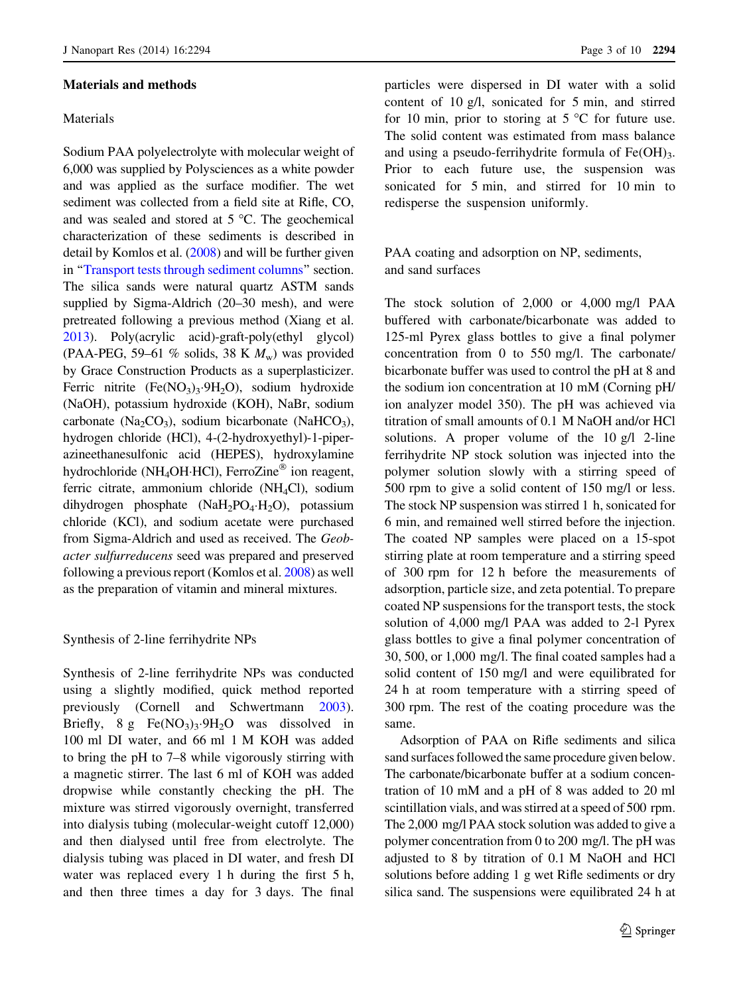# <span id="page-2-0"></span>Materials and methods

# Materials

Sodium PAA polyelectrolyte with molecular weight of 6,000 was supplied by Polysciences as a white powder and was applied as the surface modifier. The wet sediment was collected from a field site at Rifle, CO, and was sealed and stored at  $5^{\circ}$ C. The geochemical characterization of these sediments is described in detail by Komlos et al. ([2008](#page-8-0)) and will be further given in ''[Transport tests through sediment columns'](#page-3-0)' section. The silica sands were natural quartz ASTM sands supplied by Sigma-Aldrich (20–30 mesh), and were pretreated following a previous method (Xiang et al. [2013](#page-9-0)). Poly(acrylic acid)-graft-poly(ethyl glycol) (PAA-PEG, 59–61 % solids, 38 K  $M_w$ ) was provided by Grace Construction Products as a superplasticizer. Ferric nitrite  $(Fe(NO<sub>3</sub>)<sub>3</sub>·9H<sub>2</sub>O)$ , sodium hydroxide (NaOH), potassium hydroxide (KOH), NaBr, sodium carbonate (Na<sub>2</sub>CO<sub>3</sub>), sodium bicarbonate (NaHCO<sub>3</sub>), hydrogen chloride (HCl), 4-(2-hydroxyethyl)-1-piperazineethanesulfonic acid (HEPES), hydroxylamine hydrochloride (NH<sub>4</sub>OH·HCl), FerroZine® ion reagent, ferric citrate, ammonium chloride (NH<sub>4</sub>Cl), sodium dihydrogen phosphate (NaH2PO4-H2O), potassium chloride (KCl), and sodium acetate were purchased from Sigma-Aldrich and used as received. The Geobacter sulfurreducens seed was prepared and preserved following a previous report (Komlos et al. [2008](#page-8-0)) as well as the preparation of vitamin and mineral mixtures.

## Synthesis of 2-line ferrihydrite NPs

Synthesis of 2-line ferrihydrite NPs was conducted using a slightly modified, quick method reported previously (Cornell and Schwertmann [2003](#page-8-0)). Briefly,  $8 \text{ g }$  Fe(NO<sub>3</sub>)<sub>3</sub>.9H<sub>2</sub>O was dissolved in 100 ml DI water, and 66 ml 1 M KOH was added to bring the pH to 7–8 while vigorously stirring with a magnetic stirrer. The last 6 ml of KOH was added dropwise while constantly checking the pH. The mixture was stirred vigorously overnight, transferred into dialysis tubing (molecular-weight cutoff 12,000) and then dialysed until free from electrolyte. The dialysis tubing was placed in DI water, and fresh DI water was replaced every 1 h during the first 5 h, and then three times a day for 3 days. The final particles were dispersed in DI water with a solid content of 10 g/l, sonicated for 5 min, and stirred for 10 min, prior to storing at  $5^{\circ}$ C for future use. The solid content was estimated from mass balance and using a pseudo-ferrihydrite formula of  $Fe(OH)<sub>3</sub>$ . Prior to each future use, the suspension was sonicated for 5 min, and stirred for 10 min to redisperse the suspension uniformly.

PAA coating and adsorption on NP, sediments, and sand surfaces

The stock solution of 2,000 or 4,000 mg/l PAA buffered with carbonate/bicarbonate was added to 125-ml Pyrex glass bottles to give a final polymer concentration from 0 to 550 mg/l. The carbonate/ bicarbonate buffer was used to control the pH at 8 and the sodium ion concentration at 10 mM (Corning pH/ ion analyzer model 350). The pH was achieved via titration of small amounts of 0.1 M NaOH and/or HCl solutions. A proper volume of the 10 g/l 2-line ferrihydrite NP stock solution was injected into the polymer solution slowly with a stirring speed of 500 rpm to give a solid content of 150 mg/l or less. The stock NP suspension was stirred 1 h, sonicated for 6 min, and remained well stirred before the injection. The coated NP samples were placed on a 15-spot stirring plate at room temperature and a stirring speed of 300 rpm for 12 h before the measurements of adsorption, particle size, and zeta potential. To prepare coated NP suspensions for the transport tests, the stock solution of 4,000 mg/l PAA was added to 2-l Pyrex glass bottles to give a final polymer concentration of 30, 500, or 1,000 mg/l. The final coated samples had a solid content of 150 mg/l and were equilibrated for 24 h at room temperature with a stirring speed of 300 rpm. The rest of the coating procedure was the same.

Adsorption of PAA on Rifle sediments and silica sand surfaces followed the same procedure given below. The carbonate/bicarbonate buffer at a sodium concentration of 10 mM and a pH of 8 was added to 20 ml scintillation vials, and was stirred at a speed of 500 rpm. The 2,000 mg/l PAA stock solution was added to give a polymer concentration from 0 to 200 mg/l. The pH was adjusted to 8 by titration of 0.1 M NaOH and HCl solutions before adding 1 g wet Rifle sediments or dry silica sand. The suspensions were equilibrated 24 h at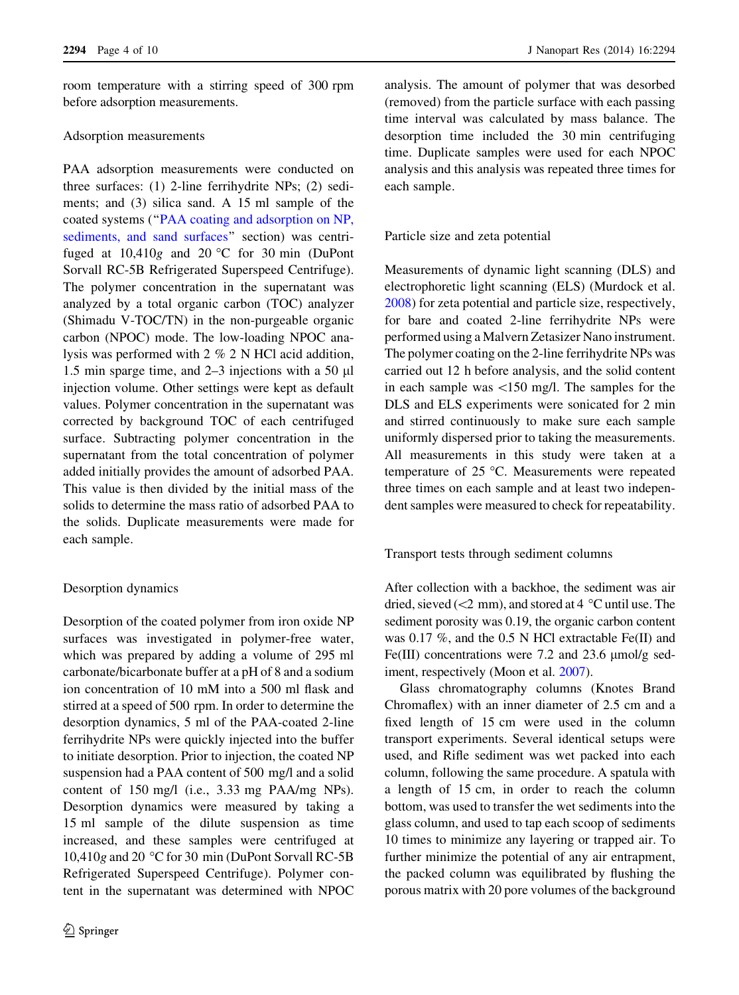<span id="page-3-0"></span>room temperature with a stirring speed of 300 rpm before adsorption measurements.

## Adsorption measurements

PAA adsorption measurements were conducted on three surfaces: (1) 2-line ferrihydrite NPs; (2) sediments; and (3) silica sand. A 15 ml sample of the coated systems ('['PAA coating and adsorption on NP,](#page-2-0) [sediments, and sand surfaces](#page-2-0)" section) was centrifuged at  $10,410g$  and  $20^{\circ}$ C for 30 min (DuPont Sorvall RC-5B Refrigerated Superspeed Centrifuge). The polymer concentration in the supernatant was analyzed by a total organic carbon (TOC) analyzer (Shimadu V-TOC/TN) in the non-purgeable organic carbon (NPOC) mode. The low-loading NPOC analysis was performed with 2 % 2 N HCl acid addition, 1.5 min sparge time, and 2–3 injections with a 50 ll injection volume. Other settings were kept as default values. Polymer concentration in the supernatant was corrected by background TOC of each centrifuged surface. Subtracting polymer concentration in the supernatant from the total concentration of polymer added initially provides the amount of adsorbed PAA. This value is then divided by the initial mass of the solids to determine the mass ratio of adsorbed PAA to the solids. Duplicate measurements were made for each sample.

# Desorption dynamics

Desorption of the coated polymer from iron oxide NP surfaces was investigated in polymer-free water, which was prepared by adding a volume of 295 ml carbonate/bicarbonate buffer at a pH of 8 and a sodium ion concentration of 10 mM into a 500 ml flask and stirred at a speed of 500 rpm. In order to determine the desorption dynamics, 5 ml of the PAA-coated 2-line ferrihydrite NPs were quickly injected into the buffer to initiate desorption. Prior to injection, the coated NP suspension had a PAA content of 500 mg/l and a solid content of 150 mg/l (i.e., 3.33 mg PAA/mg NPs). Desorption dynamics were measured by taking a 15 ml sample of the dilute suspension as time increased, and these samples were centrifuged at 10,410g and 20 $\degree$ C for 30 min (DuPont Sorvall RC-5B) Refrigerated Superspeed Centrifuge). Polymer content in the supernatant was determined with NPOC analysis. The amount of polymer that was desorbed (removed) from the particle surface with each passing time interval was calculated by mass balance. The desorption time included the 30 min centrifuging time. Duplicate samples were used for each NPOC analysis and this analysis was repeated three times for each sample.

# Particle size and zeta potential

Measurements of dynamic light scanning (DLS) and electrophoretic light scanning (ELS) (Murdock et al. [2008\)](#page-8-0) for zeta potential and particle size, respectively, for bare and coated 2-line ferrihydrite NPs were performed using a Malvern Zetasizer Nano instrument. The polymer coating on the 2-line ferrihydrite NPs was carried out 12 h before analysis, and the solid content in each sample was  $\langle 150 \text{ mg/l}$ . The samples for the DLS and ELS experiments were sonicated for 2 min and stirred continuously to make sure each sample uniformly dispersed prior to taking the measurements. All measurements in this study were taken at a temperature of 25 °C. Measurements were repeated three times on each sample and at least two independent samples were measured to check for repeatability.

## Transport tests through sediment columns

After collection with a backhoe, the sediment was air dried, sieved ( $\leq$ 2 mm), and stored at 4 °C until use. The sediment porosity was 0.19, the organic carbon content was 0.17 %, and the 0.5 N HCl extractable Fe(II) and Fe(III) concentrations were 7.2 and 23.6  $\mu$ mol/g sediment, respectively (Moon et al. [2007\)](#page-8-0).

Glass chromatography columns (Knotes Brand Chromaflex) with an inner diameter of 2.5 cm and a fixed length of 15 cm were used in the column transport experiments. Several identical setups were used, and Rifle sediment was wet packed into each column, following the same procedure. A spatula with a length of 15 cm, in order to reach the column bottom, was used to transfer the wet sediments into the glass column, and used to tap each scoop of sediments 10 times to minimize any layering or trapped air. To further minimize the potential of any air entrapment, the packed column was equilibrated by flushing the porous matrix with 20 pore volumes of the background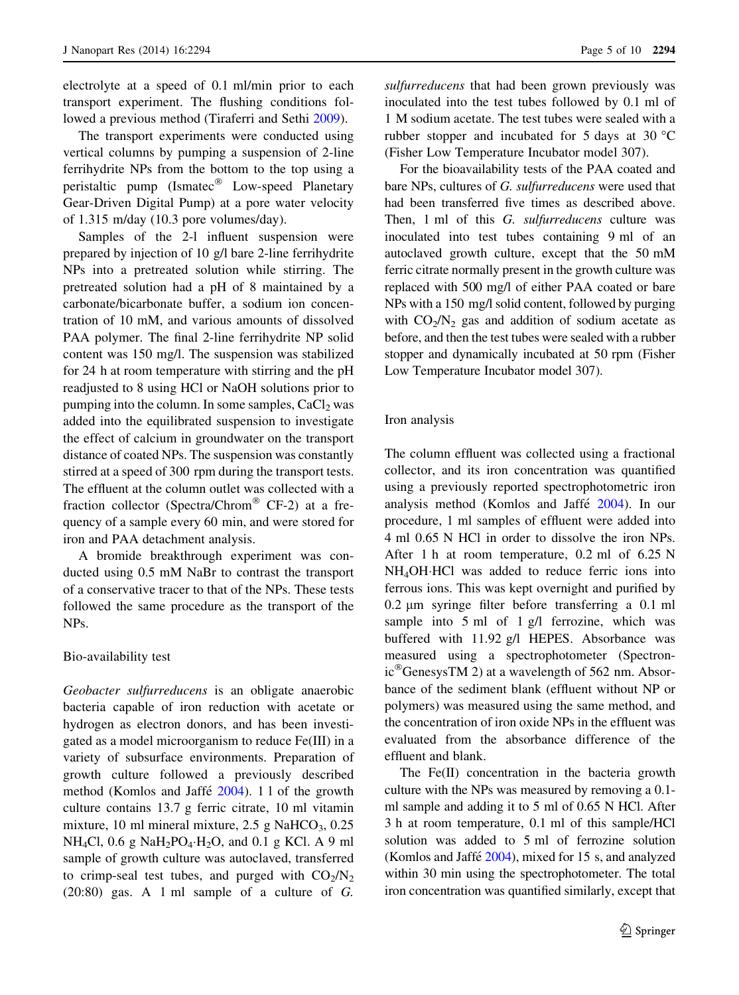electrolyte at a speed of 0.1 ml/min prior to each transport experiment. The flushing conditions followed a previous method (Tiraferri and Sethi [2009\)](#page-9-0).

The transport experiments were conducted using vertical columns by pumping a suspension of 2-line ferrihydrite NPs from the bottom to the top using a peristaltic pump (Ismatec<sup>®</sup> Low-speed Planetary Gear-Driven Digital Pump) at a pore water velocity of 1.315 m/day (10.3 pore volumes/day).

Samples of the 2-l influent suspension were prepared by injection of 10 g/l bare 2-line ferrihydrite NPs into a pretreated solution while stirring. The pretreated solution had a pH of 8 maintained by a carbonate/bicarbonate buffer, a sodium ion concentration of 10 mM, and various amounts of dissolved PAA polymer. The final 2-line ferrihydrite NP solid content was 150 mg/l. The suspension was stabilized for 24 h at room temperature with stirring and the pH readjusted to 8 using HCl or NaOH solutions prior to pumping into the column. In some samples,  $CaCl<sub>2</sub>$  was added into the equilibrated suspension to investigate the effect of calcium in groundwater on the transport distance of coated NPs. The suspension was constantly stirred at a speed of 300 rpm during the transport tests. The effluent at the column outlet was collected with a fraction collector (Spectra/Chrom<sup>®</sup> CF-2) at a frequency of a sample every 60 min, and were stored for iron and PAA detachment analysis.

A bromide breakthrough experiment was conducted using 0.5 mM NaBr to contrast the transport of a conservative tracer to that of the NPs. These tests followed the same procedure as the transport of the NPs.

# Bio-availability test

Geobacter sulfurreducens is an obligate anaerobic bacteria capable of iron reduction with acetate or hydrogen as electron donors, and has been investigated as a model microorganism to reduce Fe(III) in a variety of subsurface environments. Preparation of growth culture followed a previously described method (Komlos and Jaffé [2004](#page-8-0)). 1 l of the growth culture contains 13.7 g ferric citrate, 10 ml vitamin mixture, 10 ml mineral mixture,  $2.5 \text{ g }$  NaHCO<sub>3</sub>, 0.25 NH<sub>4</sub>Cl,  $0.6$  g NaH<sub>2</sub>PO<sub>4</sub> $\cdot$ H<sub>2</sub>O, and  $0.1$  g KCl. A 9 ml sample of growth culture was autoclaved, transferred to crimp-seal test tubes, and purged with  $CO<sub>2</sub>/N<sub>2</sub>$ (20:80) gas. A 1 ml sample of a culture of G.

sulfurreducens that had been grown previously was inoculated into the test tubes followed by 0.1 ml of 1 M sodium acetate. The test tubes were sealed with a rubber stopper and incubated for 5 days at 30  $^{\circ}$ C (Fisher Low Temperature Incubator model 307).

For the bioavailability tests of the PAA coated and bare NPs, cultures of G. sulfurreducens were used that had been transferred five times as described above. Then, 1 ml of this G. sulfurreducens culture was inoculated into test tubes containing 9 ml of an autoclaved growth culture, except that the 50 mM ferric citrate normally present in the growth culture was replaced with 500 mg/l of either PAA coated or bare NPs with a 150 mg/l solid content, followed by purging with  $CO<sub>2</sub>/N<sub>2</sub>$  gas and addition of sodium acetate as before, and then the test tubes were sealed with a rubber stopper and dynamically incubated at 50 rpm (Fisher Low Temperature Incubator model 307).

#### Iron analysis

The column effluent was collected using a fractional collector, and its iron concentration was quantified using a previously reported spectrophotometric iron analysis method (Komlos and Jaffe´ [2004](#page-8-0)). In our procedure, 1 ml samples of effluent were added into 4 ml 0.65 N HCl in order to dissolve the iron NPs. After 1 h at room temperature, 0.2 ml of 6.25 N NH4OH-HCl was added to reduce ferric ions into ferrous ions. This was kept overnight and purified by  $0.2 \mu m$  syringe filter before transferring a  $0.1 \mu m$ sample into 5 ml of 1 g/l ferrozine, which was buffered with 11.92 g/l HEPES. Absorbance was measured using a spectrophotometer (Spectronic<sup>®</sup>GenesysTM 2) at a wavelength of 562 nm. Absorbance of the sediment blank (effluent without NP or polymers) was measured using the same method, and the concentration of iron oxide NPs in the effluent was evaluated from the absorbance difference of the effluent and blank.

The Fe(II) concentration in the bacteria growth culture with the NPs was measured by removing a 0.1 ml sample and adding it to 5 ml of 0.65 N HCl. After 3 h at room temperature, 0.1 ml of this sample/HCl solution was added to 5 ml of ferrozine solution (Komlos and Jaffé  $2004$ ), mixed for 15 s, and analyzed within 30 min using the spectrophotometer. The total iron concentration was quantified similarly, except that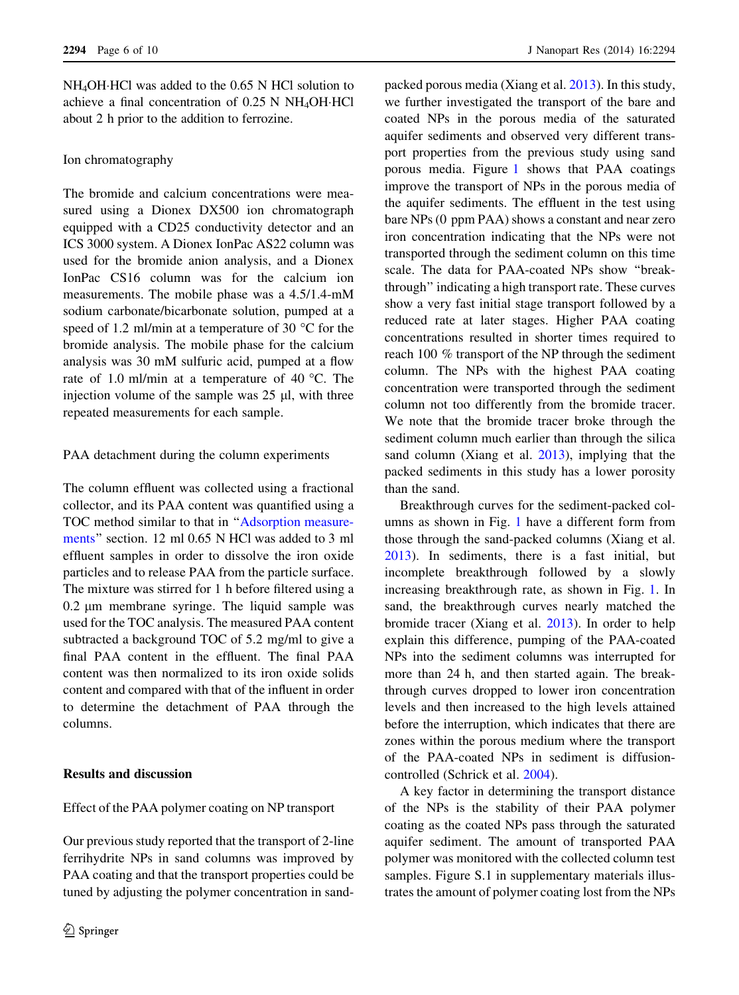NH4OH-HCl was added to the 0.65 N HCl solution to achieve a final concentration of 0.25 N NH4OH-HCl about 2 h prior to the addition to ferrozine.

# Ion chromatography

The bromide and calcium concentrations were measured using a Dionex DX500 ion chromatograph equipped with a CD25 conductivity detector and an ICS 3000 system. A Dionex IonPac AS22 column was used for the bromide anion analysis, and a Dionex IonPac CS16 column was for the calcium ion measurements. The mobile phase was a 4.5/1.4-mM sodium carbonate/bicarbonate solution, pumped at a speed of 1.2 ml/min at a temperature of 30  $\degree$ C for the bromide analysis. The mobile phase for the calcium analysis was 30 mM sulfuric acid, pumped at a flow rate of 1.0 ml/min at a temperature of 40  $^{\circ}$ C. The injection volume of the sample was  $25 \mu l$ , with three repeated measurements for each sample.

# PAA detachment during the column experiments

The column effluent was collected using a fractional collector, and its PAA content was quantified using a TOC method similar to that in ''[Adsorption measure](#page-3-0)[ments'](#page-3-0)' section. 12 ml 0.65 N HCl was added to 3 ml effluent samples in order to dissolve the iron oxide particles and to release PAA from the particle surface. The mixture was stirred for 1 h before filtered using a  $0.2 \mu m$  membrane syringe. The liquid sample was used for the TOC analysis. The measured PAA content subtracted a background TOC of 5.2 mg/ml to give a final PAA content in the effluent. The final PAA content was then normalized to its iron oxide solids content and compared with that of the influent in order to determine the detachment of PAA through the columns.

# Results and discussion

# Effect of the PAA polymer coating on NP transport

Our previous study reported that the transport of 2-line ferrihydrite NPs in sand columns was improved by PAA coating and that the transport properties could be tuned by adjusting the polymer concentration in sandpacked porous media (Xiang et al. [2013\)](#page-9-0). In this study, we further investigated the transport of the bare and coated NPs in the porous media of the saturated aquifer sediments and observed very different transport properties from the previous study using sand porous media. Figure [1](#page-6-0) shows that PAA coatings improve the transport of NPs in the porous media of the aquifer sediments. The effluent in the test using bare NPs (0 ppm PAA) shows a constant and near zero iron concentration indicating that the NPs were not transported through the sediment column on this time scale. The data for PAA-coated NPs show ''breakthrough'' indicating a high transport rate. These curves show a very fast initial stage transport followed by a reduced rate at later stages. Higher PAA coating concentrations resulted in shorter times required to reach 100 % transport of the NP through the sediment column. The NPs with the highest PAA coating concentration were transported through the sediment column not too differently from the bromide tracer. We note that the bromide tracer broke through the sediment column much earlier than through the silica sand column (Xiang et al. [2013\)](#page-9-0), implying that the packed sediments in this study has a lower porosity than the sand.

Breakthrough curves for the sediment-packed columns as shown in Fig. [1](#page-6-0) have a different form from those through the sand-packed columns (Xiang et al. [2013\)](#page-9-0). In sediments, there is a fast initial, but incomplete breakthrough followed by a slowly increasing breakthrough rate, as shown in Fig. [1.](#page-6-0) In sand, the breakthrough curves nearly matched the bromide tracer (Xiang et al. [2013\)](#page-9-0). In order to help explain this difference, pumping of the PAA-coated NPs into the sediment columns was interrupted for more than 24 h, and then started again. The breakthrough curves dropped to lower iron concentration levels and then increased to the high levels attained before the interruption, which indicates that there are zones within the porous medium where the transport of the PAA-coated NPs in sediment is diffusioncontrolled (Schrick et al. [2004\)](#page-9-0).

A key factor in determining the transport distance of the NPs is the stability of their PAA polymer coating as the coated NPs pass through the saturated aquifer sediment. The amount of transported PAA polymer was monitored with the collected column test samples. Figure S.1 in supplementary materials illustrates the amount of polymer coating lost from the NPs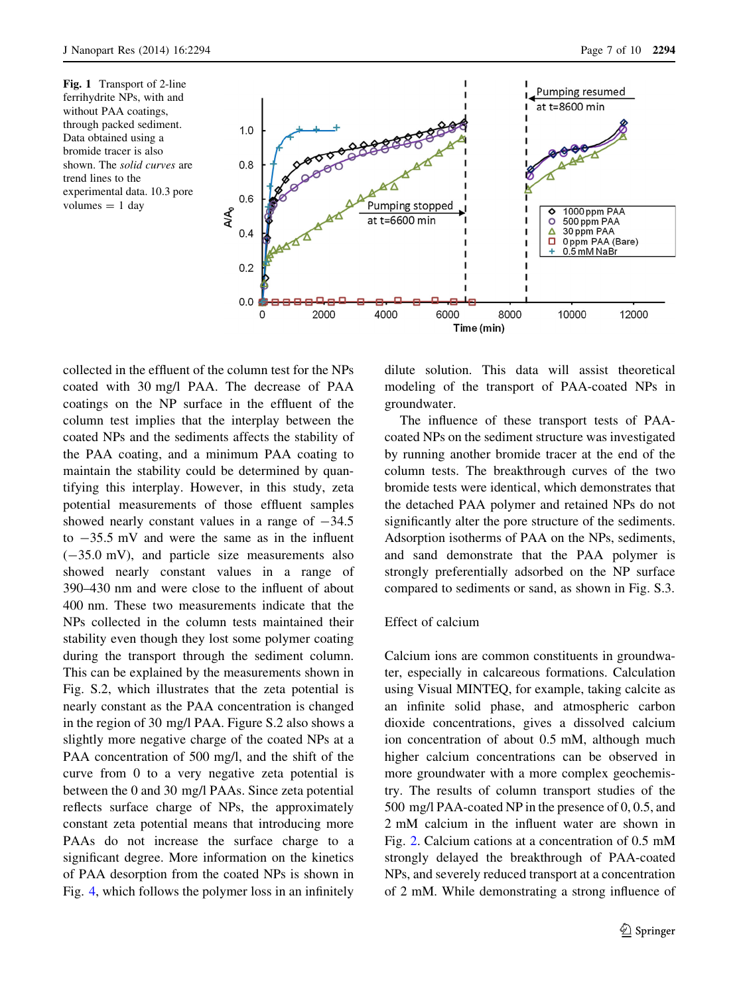<span id="page-6-0"></span>Fig. 1 Transport of 2-line ferrihydrite NPs, with and without PAA coatings, through packed sediment. Data obtained using a bromide tracer is also shown. The *solid curves* are trend lines to the experimental data. 10.3 pore  $volumes = 1 day$ 



collected in the effluent of the column test for the NPs coated with 30 mg/l PAA. The decrease of PAA coatings on the NP surface in the effluent of the column test implies that the interplay between the coated NPs and the sediments affects the stability of the PAA coating, and a minimum PAA coating to maintain the stability could be determined by quantifying this interplay. However, in this study, zeta potential measurements of those effluent samples showed nearly constant values in a range of  $-34.5$ to  $-35.5$  mV and were the same as in the influent  $(-35.0 \text{ mV})$ , and particle size measurements also showed nearly constant values in a range of 390–430 nm and were close to the influent of about 400 nm. These two measurements indicate that the NPs collected in the column tests maintained their stability even though they lost some polymer coating during the transport through the sediment column. This can be explained by the measurements shown in Fig. S.2, which illustrates that the zeta potential is nearly constant as the PAA concentration is changed in the region of 30 mg/l PAA. Figure S.2 also shows a slightly more negative charge of the coated NPs at a PAA concentration of 500 mg/l, and the shift of the curve from 0 to a very negative zeta potential is between the 0 and 30 mg/l PAAs. Since zeta potential reflects surface charge of NPs, the approximately constant zeta potential means that introducing more PAAs do not increase the surface charge to a significant degree. More information on the kinetics of PAA desorption from the coated NPs is shown in Fig. [4,](#page-8-0) which follows the polymer loss in an infinitely

dilute solution. This data will assist theoretical modeling of the transport of PAA-coated NPs in groundwater.

The influence of these transport tests of PAAcoated NPs on the sediment structure was investigated by running another bromide tracer at the end of the column tests. The breakthrough curves of the two bromide tests were identical, which demonstrates that the detached PAA polymer and retained NPs do not significantly alter the pore structure of the sediments. Adsorption isotherms of PAA on the NPs, sediments, and sand demonstrate that the PAA polymer is strongly preferentially adsorbed on the NP surface compared to sediments or sand, as shown in Fig. S.3.

# Effect of calcium

Calcium ions are common constituents in groundwater, especially in calcareous formations. Calculation using Visual MINTEQ, for example, taking calcite as an infinite solid phase, and atmospheric carbon dioxide concentrations, gives a dissolved calcium ion concentration of about 0.5 mM, although much higher calcium concentrations can be observed in more groundwater with a more complex geochemistry. The results of column transport studies of the 500 mg/l PAA-coated NP in the presence of 0, 0.5, and 2 mM calcium in the influent water are shown in Fig. [2.](#page-7-0) Calcium cations at a concentration of 0.5 mM strongly delayed the breakthrough of PAA-coated NPs, and severely reduced transport at a concentration of 2 mM. While demonstrating a strong influence of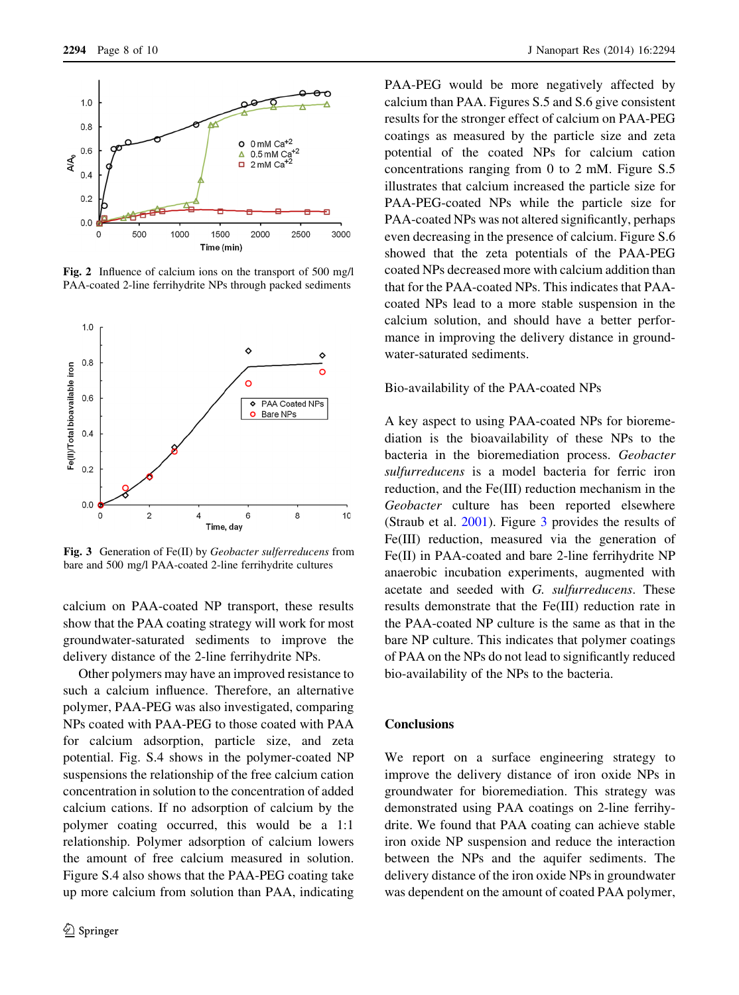<span id="page-7-0"></span>

Fig. 2 Influence of calcium ions on the transport of 500 mg/l PAA-coated 2-line ferrihydrite NPs through packed sediments



Fig. 3 Generation of Fe(II) by Geobacter sulferreducens from bare and 500 mg/l PAA-coated 2-line ferrihydrite cultures

calcium on PAA-coated NP transport, these results show that the PAA coating strategy will work for most groundwater-saturated sediments to improve the delivery distance of the 2-line ferrihydrite NPs.

Other polymers may have an improved resistance to such a calcium influence. Therefore, an alternative polymer, PAA-PEG was also investigated, comparing NPs coated with PAA-PEG to those coated with PAA for calcium adsorption, particle size, and zeta potential. Fig. S.4 shows in the polymer-coated NP suspensions the relationship of the free calcium cation concentration in solution to the concentration of added calcium cations. If no adsorption of calcium by the polymer coating occurred, this would be a 1:1 relationship. Polymer adsorption of calcium lowers the amount of free calcium measured in solution. Figure S.4 also shows that the PAA-PEG coating take up more calcium from solution than PAA, indicating PAA-PEG would be more negatively affected by calcium than PAA. Figures S.5 and S.6 give consistent results for the stronger effect of calcium on PAA-PEG coatings as measured by the particle size and zeta potential of the coated NPs for calcium cation concentrations ranging from 0 to 2 mM. Figure S.5 illustrates that calcium increased the particle size for PAA-PEG-coated NPs while the particle size for PAA-coated NPs was not altered significantly, perhaps even decreasing in the presence of calcium. Figure S.6 showed that the zeta potentials of the PAA-PEG coated NPs decreased more with calcium addition than that for the PAA-coated NPs. This indicates that PAAcoated NPs lead to a more stable suspension in the calcium solution, and should have a better performance in improving the delivery distance in groundwater-saturated sediments.

#### Bio-availability of the PAA-coated NPs

A key aspect to using PAA-coated NPs for bioremediation is the bioavailability of these NPs to the bacteria in the bioremediation process. Geobacter sulfurreducens is a model bacteria for ferric iron reduction, and the Fe(III) reduction mechanism in the Geobacter culture has been reported elsewhere (Straub et al. [2001\)](#page-9-0). Figure 3 provides the results of Fe(III) reduction, measured via the generation of Fe(II) in PAA-coated and bare 2-line ferrihydrite NP anaerobic incubation experiments, augmented with acetate and seeded with G. sulfurreducens. These results demonstrate that the Fe(III) reduction rate in the PAA-coated NP culture is the same as that in the bare NP culture. This indicates that polymer coatings of PAA on the NPs do not lead to significantly reduced bio-availability of the NPs to the bacteria.

# **Conclusions**

We report on a surface engineering strategy to improve the delivery distance of iron oxide NPs in groundwater for bioremediation. This strategy was demonstrated using PAA coatings on 2-line ferrihydrite. We found that PAA coating can achieve stable iron oxide NP suspension and reduce the interaction between the NPs and the aquifer sediments. The delivery distance of the iron oxide NPs in groundwater was dependent on the amount of coated PAA polymer,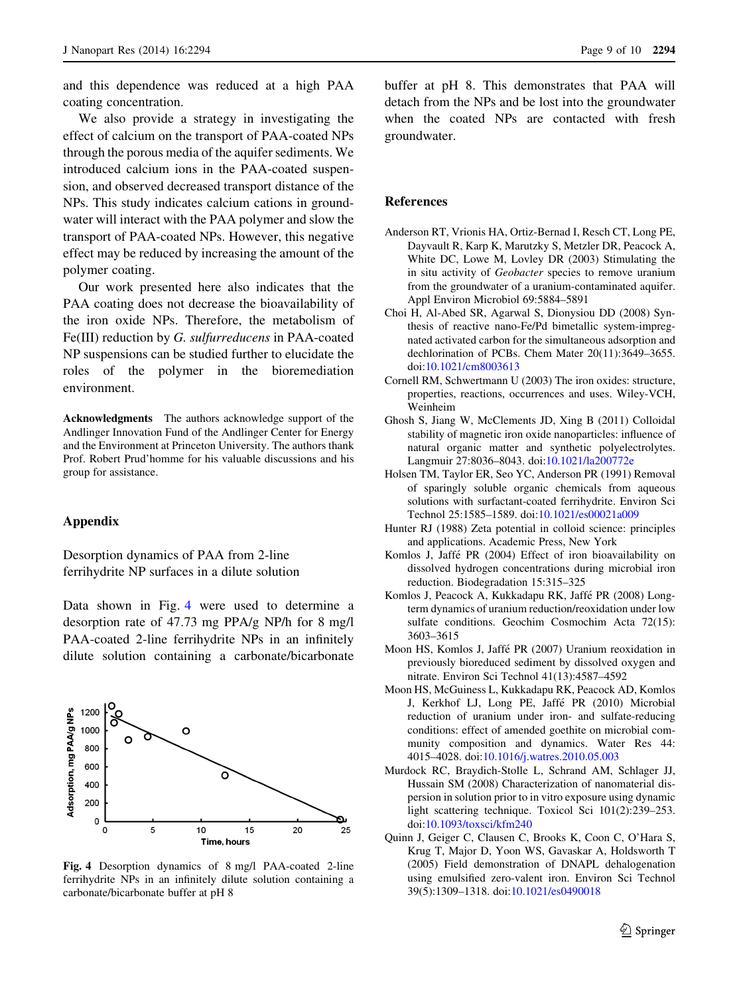<span id="page-8-0"></span>and this dependence was reduced at a high PAA coating concentration.

We also provide a strategy in investigating the effect of calcium on the transport of PAA-coated NPs through the porous media of the aquifer sediments. We introduced calcium ions in the PAA-coated suspension, and observed decreased transport distance of the NPs. This study indicates calcium cations in groundwater will interact with the PAA polymer and slow the transport of PAA-coated NPs. However, this negative effect may be reduced by increasing the amount of the polymer coating.

Our work presented here also indicates that the PAA coating does not decrease the bioavailability of the iron oxide NPs. Therefore, the metabolism of Fe(III) reduction by G. sulfurreducens in PAA-coated NP suspensions can be studied further to elucidate the roles of the polymer in the bioremediation environment.

Acknowledgments The authors acknowledge support of the Andlinger Innovation Fund of the Andlinger Center for Energy and the Environment at Princeton University. The authors thank Prof. Robert Prud'homme for his valuable discussions and his group for assistance.

#### Appendix

Desorption dynamics of PAA from 2-line ferrihydrite NP surfaces in a dilute solution

Data shown in Fig. 4 were used to determine a desorption rate of 47.73 mg PPA/g NP/h for 8 mg/l PAA-coated 2-line ferrihydrite NPs in an infinitely dilute solution containing a carbonate/bicarbonate



Fig. 4 Desorption dynamics of 8 mg/l PAA-coated 2-line ferrihydrite NPs in an infinitely dilute solution containing a carbonate/bicarbonate buffer at pH 8

buffer at pH 8. This demonstrates that PAA will detach from the NPs and be lost into the groundwater when the coated NPs are contacted with fresh groundwater.

#### References

- Anderson RT, Vrionis HA, Ortiz-Bernad I, Resch CT, Long PE, Dayvault R, Karp K, Marutzky S, Metzler DR, Peacock A, White DC, Lowe M, Lovley DR (2003) Stimulating the in situ activity of Geobacter species to remove uranium from the groundwater of a uranium-contaminated aquifer. Appl Environ Microbiol 69:5884–5891
- Choi H, Al-Abed SR, Agarwal S, Dionysiou DD (2008) Synthesis of reactive nano-Fe/Pd bimetallic system-impregnated activated carbon for the simultaneous adsorption and dechlorination of PCBs. Chem Mater 20(11):3649–3655. doi[:10.1021/cm8003613](http://dx.doi.org/10.1021/cm8003613)
- Cornell RM, Schwertmann U (2003) The iron oxides: structure, properties, reactions, occurrences and uses. Wiley-VCH, Weinheim
- Ghosh S, Jiang W, McClements JD, Xing B (2011) Colloidal stability of magnetic iron oxide nanoparticles: influence of natural organic matter and synthetic polyelectrolytes. Langmuir 27:8036–8043. doi[:10.1021/la200772e](http://dx.doi.org/10.1021/la200772e)
- Holsen TM, Taylor ER, Seo YC, Anderson PR (1991) Removal of sparingly soluble organic chemicals from aqueous solutions with surfactant-coated ferrihydrite. Environ Sci Technol 25:1585–1589. doi:[10.1021/es00021a009](http://dx.doi.org/10.1021/es00021a009)
- Hunter RJ (1988) Zeta potential in colloid science: principles and applications. Academic Press, New York
- Komlos J, Jaffé PR (2004) Effect of iron bioavailability on dissolved hydrogen concentrations during microbial iron reduction. Biodegradation 15:315–325
- Komlos J, Peacock A, Kukkadapu RK, Jaffé PR (2008) Longterm dynamics of uranium reduction/reoxidation under low sulfate conditions. Geochim Cosmochim Acta 72(15): 3603–3615
- Moon HS, Komlos J, Jaffe´ PR (2007) Uranium reoxidation in previously bioreduced sediment by dissolved oxygen and nitrate. Environ Sci Technol 41(13):4587–4592
- Moon HS, McGuiness L, Kukkadapu RK, Peacock AD, Komlos J, Kerkhof LJ, Long PE, Jaffe´ PR (2010) Microbial reduction of uranium under iron- and sulfate-reducing conditions: effect of amended goethite on microbial community composition and dynamics. Water Res 44: 4015–4028. doi:[10.1016/j.watres.2010.05.003](http://dx.doi.org/10.1016/j.watres.2010.05.003)
- Murdock RC, Braydich-Stolle L, Schrand AM, Schlager JJ, Hussain SM (2008) Characterization of nanomaterial dispersion in solution prior to in vitro exposure using dynamic light scattering technique. Toxicol Sci 101(2):239–253. doi[:10.1093/toxsci/kfm240](http://dx.doi.org/10.1093/toxsci/kfm240)
- Quinn J, Geiger C, Clausen C, Brooks K, Coon C, O'Hara S, Krug T, Major D, Yoon WS, Gavaskar A, Holdsworth T (2005) Field demonstration of DNAPL dehalogenation using emulsified zero-valent iron. Environ Sci Technol 39(5):1309–1318. doi[:10.1021/es0490018](http://dx.doi.org/10.1021/es0490018)